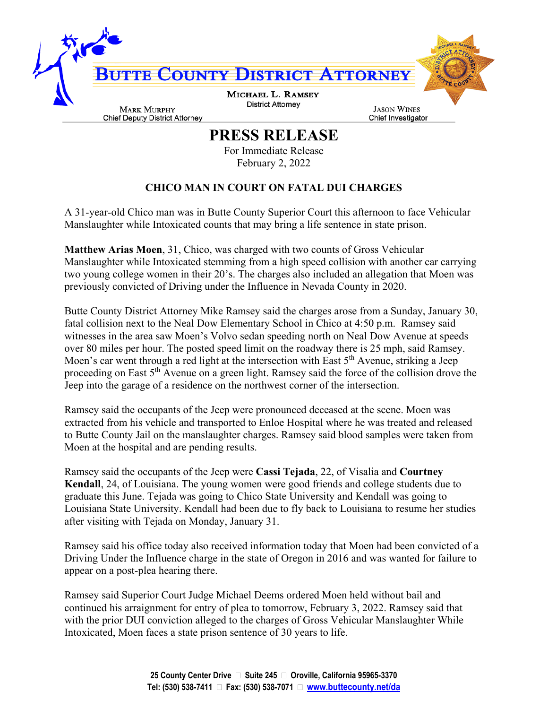

**PRESS RELEASE**

For Immediate Release February 2, 2022

## **CHICO MAN IN COURT ON FATAL DUI CHARGES**

A 31-year-old Chico man was in Butte County Superior Court this afternoon to face Vehicular Manslaughter while Intoxicated counts that may bring a life sentence in state prison.

**Matthew Arias Moen**, 31, Chico, was charged with two counts of Gross Vehicular Manslaughter while Intoxicated stemming from a high speed collision with another car carrying two young college women in their 20's. The charges also included an allegation that Moen was previously convicted of Driving under the Influence in Nevada County in 2020.

Butte County District Attorney Mike Ramsey said the charges arose from a Sunday, January 30, fatal collision next to the Neal Dow Elementary School in Chico at 4:50 p.m. Ramsey said witnesses in the area saw Moen's Volvo sedan speeding north on Neal Dow Avenue at speeds over 80 miles per hour. The posted speed limit on the roadway there is 25 mph, said Ramsey. Moen's car went through a red light at the intersection with East  $5<sup>th</sup>$  Avenue, striking a Jeep proceeding on East 5<sup>th</sup> Avenue on a green light. Ramsey said the force of the collision drove the Jeep into the garage of a residence on the northwest corner of the intersection.

Ramsey said the occupants of the Jeep were pronounced deceased at the scene. Moen was extracted from his vehicle and transported to Enloe Hospital where he was treated and released to Butte County Jail on the manslaughter charges. Ramsey said blood samples were taken from Moen at the hospital and are pending results.

Ramsey said the occupants of the Jeep were **Cassi Tejada**, 22, of Visalia and **Courtney Kendall**, 24, of Louisiana. The young women were good friends and college students due to graduate this June. Tejada was going to Chico State University and Kendall was going to Louisiana State University. Kendall had been due to fly back to Louisiana to resume her studies after visiting with Tejada on Monday, January 31.

Ramsey said his office today also received information today that Moen had been convicted of a Driving Under the Influence charge in the state of Oregon in 2016 and was wanted for failure to appear on a post-plea hearing there.

Ramsey said Superior Court Judge Michael Deems ordered Moen held without bail and continued his arraignment for entry of plea to tomorrow, February 3, 2022. Ramsey said that with the prior DUI conviction alleged to the charges of Gross Vehicular Manslaughter While Intoxicated, Moen faces a state prison sentence of 30 years to life.